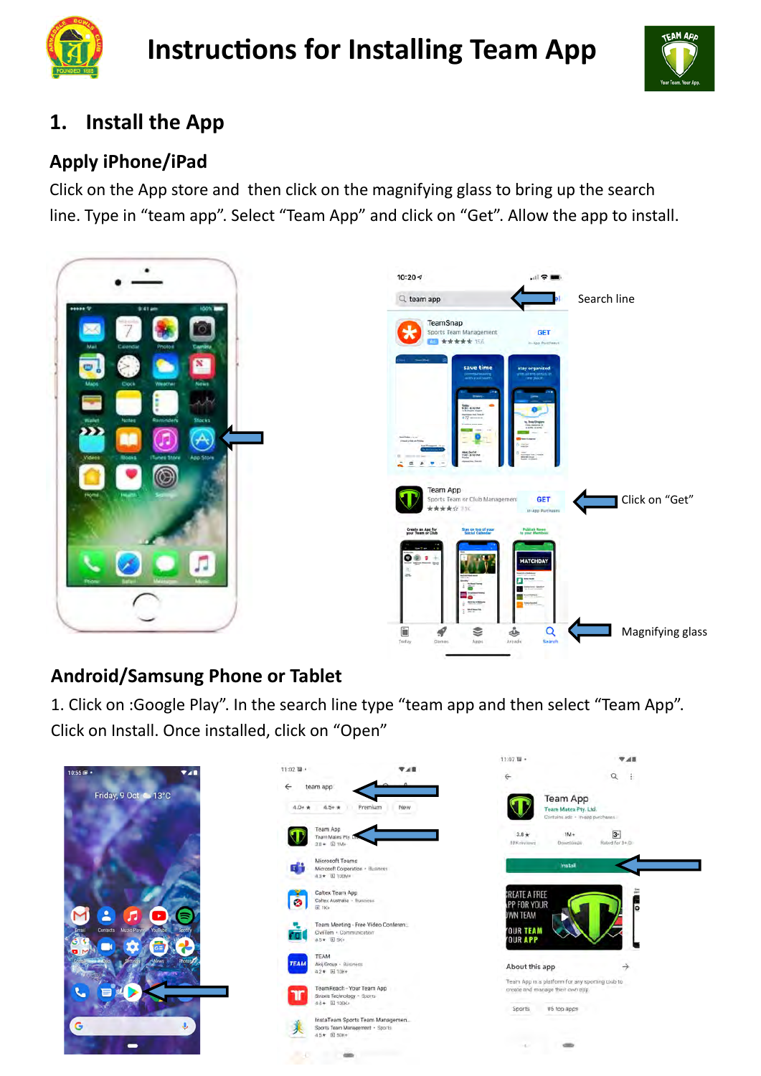

# **Instructions for Installing Team App**



## **1. Install the App**

#### **Apply iPhone/iPad**

Click on the App store and then click on the magnifying glass to bring up the search line. Type in "team app". Select "Team App" and click on "Get". Allow the app to install.



### **Android/Samsung Phone or Tablet**

1. Click on :Google Play". In the search line type "team app and then select "Team App". Click on Install. Once installed, click on "Open"

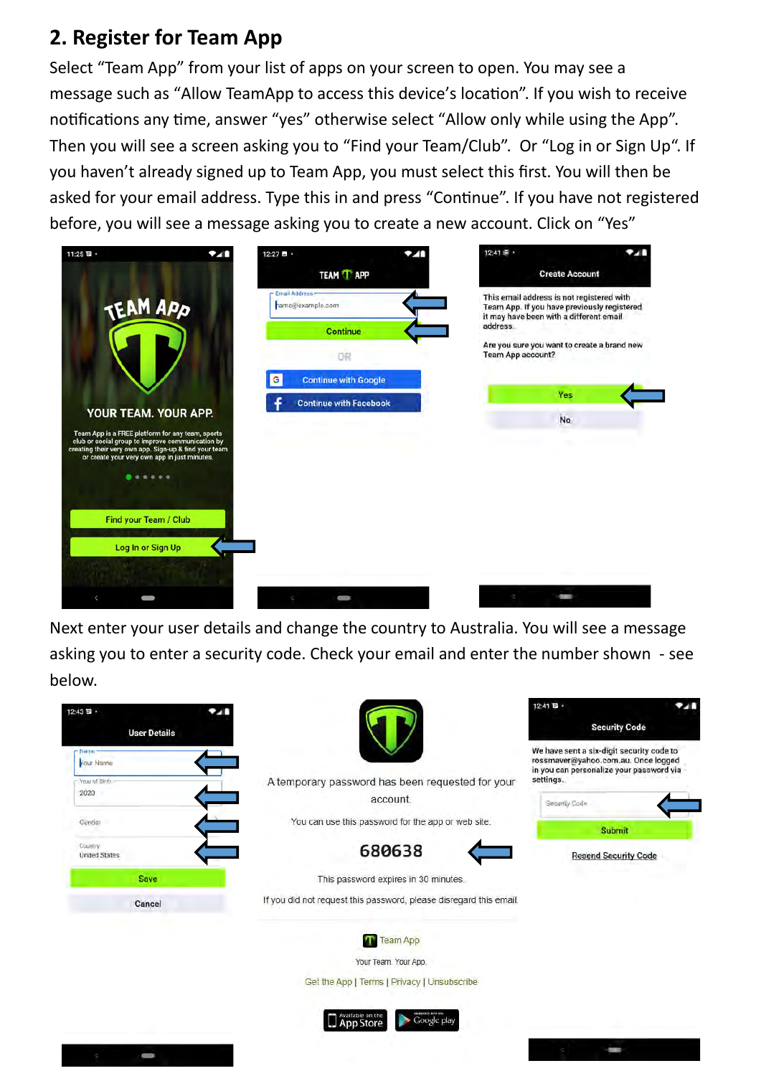#### **2. Register for Team App**

Select "Team App" from your list of apps on your screen to open. You may see a message such as "Allow TeamApp to access this device's location". If you wish to receive notifications any time, answer "yes" otherwise select "Allow only while using the App". Then you will see a screen asking you to "Find your Team/Club". Or "Log in or Sign Up". If you haven't already signed up to Team App, you must select this first. You will then be asked for your email address. Type this in and press "Continue". If you have not registered before, you will see a message asking you to create a new account. Click on "Yes"

| 11:25日·                                                                                                                                                                                                       | 12:27 四 ·<br>741 |                                       | . . | 12:41 至 。                                                                                                                           | $\alpha_{\rm L}$      |
|---------------------------------------------------------------------------------------------------------------------------------------------------------------------------------------------------------------|------------------|---------------------------------------|-----|-------------------------------------------------------------------------------------------------------------------------------------|-----------------------|
|                                                                                                                                                                                                               |                  | <b>TEAM TAPP</b>                      |     |                                                                                                                                     | <b>Create Account</b> |
| TEAM APP                                                                                                                                                                                                      |                  | - Email Address -<br>hame@example.com |     | This email address is not registered with<br>Team App. If you have previously registered<br>it may have been with a different email |                       |
|                                                                                                                                                                                                               |                  | <b>Continue</b>                       |     | address.                                                                                                                            |                       |
|                                                                                                                                                                                                               |                  | OR                                    |     | Are you sure you want to create a brand new<br>Team App account?                                                                    |                       |
|                                                                                                                                                                                                               | G                | <b>Continue with Google</b>           |     |                                                                                                                                     |                       |
|                                                                                                                                                                                                               |                  | <b>Continue with Facebook</b>         |     |                                                                                                                                     | Yes                   |
| YOUR TEAM. YOUR APP.                                                                                                                                                                                          |                  |                                       |     |                                                                                                                                     | No                    |
| Team App is a FREE platform for any team, sports<br>club or social group to improve communication by<br>creating their very own app. Sign-up & find your team<br>or create your very own app in just minutes. |                  |                                       |     |                                                                                                                                     |                       |
| $-0.0.0.0$                                                                                                                                                                                                    |                  |                                       |     |                                                                                                                                     |                       |
|                                                                                                                                                                                                               |                  |                                       |     |                                                                                                                                     |                       |
| Find your Team / Club                                                                                                                                                                                         |                  |                                       |     |                                                                                                                                     |                       |
| Log In or Sign Up                                                                                                                                                                                             |                  |                                       |     |                                                                                                                                     |                       |
|                                                                                                                                                                                                               |                  |                                       |     |                                                                                                                                     |                       |
|                                                                                                                                                                                                               |                  |                                       |     |                                                                                                                                     |                       |

Next enter your user details and change the country to Australia. You will see a message asking you to enter a security code. Check your email and enter the number shown - see below.